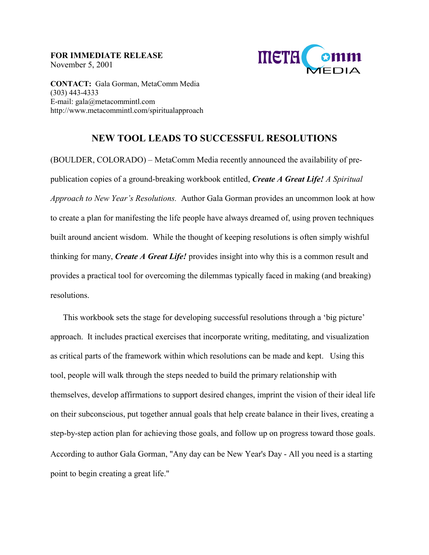**FOR IMMEDIATE RELEASE**  November 5, 2001



**CONTACT:** Gala Gorman, MetaComm Media (303) 443-4333 E-mail: gala@metacommintl.com http://www.metacommintl.com/spiritualapproach

## **NEW TOOL LEADS TO SUCCESSFUL RESOLUTIONS**

(BOULDER, COLORADO) – MetaComm Media recently announced the availability of prepublication copies of a ground-breaking workbook entitled, *Create A Great Life! A Spiritual Approach to New Year's Resolutions.* Author Gala Gorman provides an uncommon look at how to create a plan for manifesting the life people have always dreamed of, using proven techniques built around ancient wisdom. While the thought of keeping resolutions is often simply wishful thinking for many, *Create A Great Life!* provides insight into why this is a common result and provides a practical tool for overcoming the dilemmas typically faced in making (and breaking) resolutions.

This workbook sets the stage for developing successful resolutions through a 'big picture' approach. It includes practical exercises that incorporate writing, meditating, and visualization as critical parts of the framework within which resolutions can be made and kept. Using this tool, people will walk through the steps needed to build the primary relationship with themselves, develop affirmations to support desired changes, imprint the vision of their ideal life on their subconscious, put together annual goals that help create balance in their lives, creating a step-by-step action plan for achieving those goals, and follow up on progress toward those goals. According to author Gala Gorman, "Any day can be New Year's Day - All you need is a starting point to begin creating a great life."